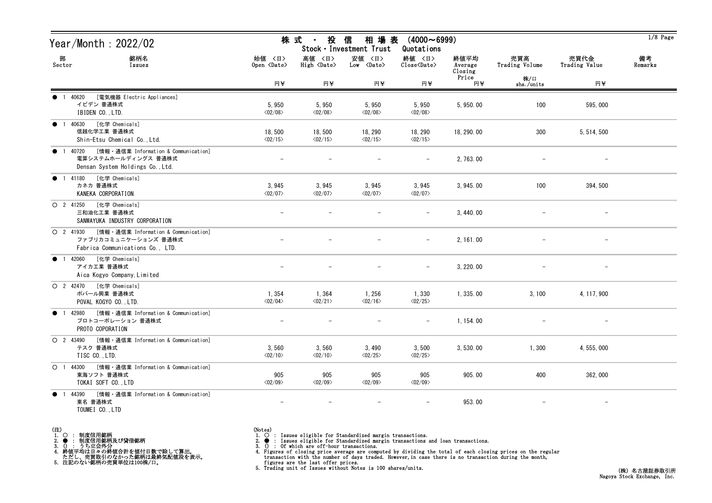| Year/Month: 2022/02                                                                                                     |                                   | 株 式<br>投<br>$\sim 10^{-11}$       | 信<br>相 場 表<br>Stock · Investment Trust | $(4000 \sim 6999)$<br>Quotations      |                            |                       |                       | $1/8$ Page    |
|-------------------------------------------------------------------------------------------------------------------------|-----------------------------------|-----------------------------------|----------------------------------------|---------------------------------------|----------------------------|-----------------------|-----------------------|---------------|
| 部<br>銘柄名<br>Sector<br>Issues                                                                                            | 始値 〈日〉<br>Open <date></date>      | 高値 〈日〉<br>High <date></date>      | 安値 〈日〉<br>$Low \ \langle Date \rangle$ | 終値 〈日〉<br>$Close\langle Date \rangle$ | 終値平均<br>Average<br>Closing | 売買高<br>Trading Volume | 売買代金<br>Trading Value | 備考<br>Remarks |
|                                                                                                                         | 円半                                | 円半                                | 円半                                     | 円¥                                    | Price<br>円半                | 株/口<br>shs./units     | 円半                    |               |
| [電気機器 Electric Appliances]<br>1 40620<br>イビデン 普通株式<br>IBIDEN CO., LTD.                                                  | 5,950<br>$\langle 02/08 \rangle$  | 5,950<br>$\langle 02/08 \rangle$  | 5,950<br>$\langle 02/08 \rangle$       | 5,950<br>$\langle 02/08 \rangle$      | 5, 950.00                  | 100                   | 595,000               |               |
| [化学 Chemicals]<br>1 40630<br>$\bullet$<br>信越化学工業 普通株式<br>Shin-Etsu Chemical Co., Ltd.                                   | 18,500<br>$\langle 02/15 \rangle$ | 18,500<br>$\langle 02/15 \rangle$ | 18, 290<br>$\langle 02/15 \rangle$     | 18, 290<br>$\langle 02/15 \rangle$    | 18, 290.00                 | 300                   | 5, 514, 500           |               |
| [情報・通信業 Information & Communication]<br>1 40720<br>$\bullet$<br>電算システムホールディングス 普通株式<br>Densan System Holdings Co., Ltd. |                                   |                                   |                                        |                                       | 2, 763.00                  |                       |                       |               |
| [化学 Chemicals]<br><b>1</b> 41180<br>カネカ 普通株式<br>KANEKA CORPORATION                                                      | 3,945<br>$\langle 02/07 \rangle$  | 3,945<br>$\langle 02/07 \rangle$  | 3,945<br>$\langle 02/07 \rangle$       | 3,945<br>$\langle 02/07 \rangle$      | 3, 945.00                  | 100                   | 394, 500              |               |
| [化学 Chemicals]<br>O 2 41250<br>三和油化工業 普通株式<br>SANWAYUKA INDUSTRY CORPORATION                                            |                                   |                                   |                                        |                                       | 3, 440.00                  |                       |                       |               |
| ○ 2 41930 [情報 · 通信業 Information & Communication]<br>ファブリカコミュニケーションズ 普通株式<br>Fabrica Communications Co., LTD.            |                                   |                                   |                                        |                                       | 2, 161.00                  |                       | $\qquad \qquad -$     |               |
| ● 1 42060 [化学 Chemicals]<br>アイカエ業 普通株式<br>Aica Kogyo Company, Limited                                                   |                                   |                                   |                                        |                                       | 3, 220, 00                 |                       |                       |               |
| O 2 42470 [化学 Chemicals]<br>ポバール興業 普通株式<br>POVAL KOGYO CO., LTD.                                                        | 1,354<br>$\langle 02/04 \rangle$  | 1,364<br>$\langle 02/21 \rangle$  | 1, 256<br>$\langle 02/16 \rangle$      | 1,330<br>$\langle 02/25 \rangle$      | 1, 335, 00                 | 3, 100                | 4, 117, 900           |               |
| ● 1 42980 [情報 · 通信業 Information & Communication]<br>プロトコーポレーション 普通株式<br>PROTO COPORATION                                | $\overline{\phantom{m}}$          |                                   |                                        | $-$                                   | 1, 154.00                  |                       | $\qquad \qquad -$     |               |
| O 2 43490 [情報 · 通信業 Information & Communication]<br>テスク 普通株式<br>TISC CO., LTD.                                          | 3,560<br>$\langle 02/10 \rangle$  | 3,560<br>$\langle 02/10 \rangle$  | 3,490<br>$\langle 02/25 \rangle$       | 3,500<br>$\langle 02/25 \rangle$      | 3, 530.00                  | 1,300                 | 4, 555, 000           |               |
| ○ 1 44300 [情報 · 通信業 Information & Communication]<br>東海ソフト 普通株式<br>TOKAI SOFT CO., LTD                                   | 905<br>$\langle 02/09 \rangle$    | 905<br>$\langle 02/09 \rangle$    | 905<br>$\langle 02/09 \rangle$         | 905<br>$\langle 02/09 \rangle$        | 905.00                     | 400                   | 362,000               |               |
| [情報・通信業 Information & Communication]<br>44390<br>$\bullet$ 1<br>東名 普通株式<br>TOUMEI CO., LTD                              | $\overline{\phantom{m}}$          |                                   | $\overline{\phantom{m}}$               | $\qquad \qquad -$                     | 953.00                     |                       | $\qquad \qquad -$     |               |

- (注)<br>1. ○<br>2. ●<br>3. ① 1. ○ : 制度信用銘柄
- 
- 

2. ● : 制度信用銘柄及び貸借銘柄<br>3. () : うち立会外分<br>4. 終値平均は日々の終値合計を値付日数で除して算出。<br>ただし、売買取引のなかった銘柄は最終気配値段を表示。<br>5. 注記のない銘柄の売買単位は100株/口。

- (Notes)<br>1. : Issues eligible for Standardized margin transactions.
-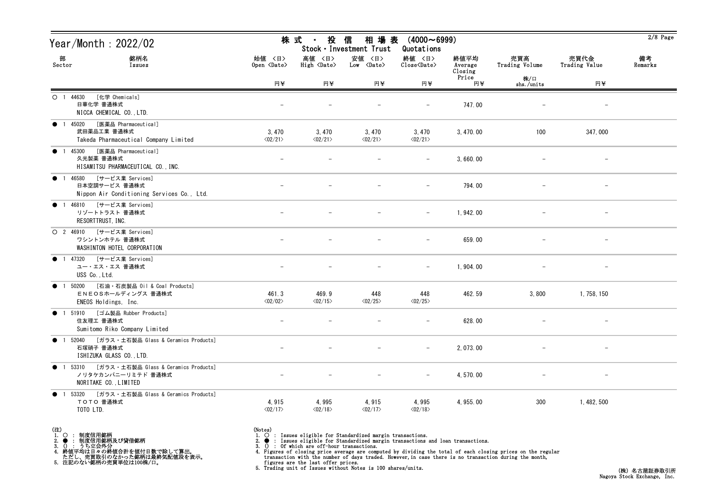| Year/Month : 2022/02                                                                                                |                                  | 株 式<br>投<br>$\sim 10^{-1}$            | 信<br>相 場 表<br>Stock · Investment Trust | $(4000 \sim 6999)$<br>Quotations                             |                            |                       |                          | $2/8$ Page    |
|---------------------------------------------------------------------------------------------------------------------|----------------------------------|---------------------------------------|----------------------------------------|--------------------------------------------------------------|----------------------------|-----------------------|--------------------------|---------------|
| 部<br>銘柄名<br>Sector<br>Issues                                                                                        | 始値 〈日〉<br>Open <date></date>     | 高値 〈日〉<br>$High \langle Date \rangle$ | 安値 〈日〉<br>$Low \langle Date \rangle$   | 終値 〈日〉<br>$\widehat{\text{Close}}\langle \text{Date}\rangle$ | 終値平均<br>Average<br>Closing | 売買高<br>Trading Volume | 売買代金<br>Trading Value    | 備考<br>Remarks |
|                                                                                                                     | 円¥                               | 円半                                    | 円半                                     | 円半                                                           | Price<br>円半                | 株/口<br>shs./units     | 円半                       |               |
| [化学 Chemicals]<br>$O$ 1 44630<br>日華化学 普通株式<br>NICCA CHEMICAL CO., LTD.                                              |                                  |                                       |                                        |                                                              | 747.00                     |                       | $\overline{\phantom{m}}$ |               |
| [医薬品 Pharmaceutical]<br><b>1</b> 45020<br>武田薬品工業 普通株式<br>Takeda Pharmaceutical Company Limited                      | 3,470<br>$\langle 02/21 \rangle$ | 3,470<br>$\langle 02/21 \rangle$      | 3,470<br>$\langle 02/21 \rangle$       | 3,470<br>$\langle 02/21 \rangle$                             | 3, 470.00                  | 100                   | 347,000                  |               |
| [医薬品 Pharmaceutical]<br>1 45300<br>$\bullet$<br>久光製薬 普通株式<br>HISAMITSU PHARMACEUTICAL CO., INC.                     |                                  |                                       |                                        |                                                              | 3,660.00                   |                       | $\overline{\phantom{m}}$ |               |
| 46580 [サービス業 Services]<br>$\bullet$ 1<br>日本空調サービス 普通株式<br>Nippon Air Conditioning Services Co., Ltd.                |                                  |                                       |                                        | $\overline{\phantom{m}}$                                     | 794.00                     |                       | -                        |               |
| 1 46810 [サービス業 Services]<br>$\bullet$<br>リゾートトラスト 普通株式<br>RESORTTRUST, INC.                                         |                                  |                                       |                                        | $\overline{\phantom{m}}$                                     | 1, 942.00                  |                       | -                        |               |
| O 2 46910 [サービス業 Services]<br>ワシントンホテル 普通株式<br>WASHINTON HOTEL CORPORATION                                          |                                  |                                       |                                        | $\overline{\phantom{m}}$                                     | 659.00                     |                       | $\overline{\phantom{m}}$ |               |
| 1 47320 [サービス業 Services]<br>$\bullet$<br>ユー・エス・エス 普通株式<br>USS Co., Ltd.                                             |                                  |                                       |                                        |                                                              | 1,904.00                   |                       |                          |               |
| [石油・石炭製品 Oil & Coal Products]<br>$\bullet$<br>50200<br>$\overline{1}$<br>ENEOSホールディングス 普通株式<br>ENEOS Holdings, Inc. | 461.3<br>$\langle 02/02 \rangle$ | 469.9<br>$\langle 02/15 \rangle$      | 448<br>$\langle 02/25 \rangle$         | 448<br>$\langle 02/25 \rangle$                               | 462.59                     | 3,800                 | 1, 758, 150              |               |
| ● 1 51910 [ゴム製品 Rubber Products]<br>住友理工 普通株式<br>Sumitomo Riko Company Limited                                      |                                  |                                       |                                        |                                                              | 628.00                     |                       | $\overline{\phantom{0}}$ |               |
| ● 1 52040 [ガラス・土石製品 Glass & Ceramics Products]<br>石塚硝子 普通株式<br>ISHIZUKA GLASS CO., LTD.                             |                                  |                                       |                                        | $-$                                                          | 2, 073.00                  |                       |                          |               |
| ● 1 53310 [ガラス・土石製品 Glass & Ceramics Products]<br>ノリタケカンパニーリミテド 普通株式<br>NORITAKE CO., LIMITED                       |                                  |                                       |                                        | $\overline{\phantom{m}}$                                     | 4, 570, 00                 |                       |                          |               |
| 53320 [ガラス・土石製品 Glass & Ceramics Products]<br>$\bullet$ 1<br>TOTO 普通株式<br>TOTO LTD.                                 | 4,915<br>$\langle 02/17 \rangle$ | 4,995<br>$\langle 02/18 \rangle$      | 4,915<br>$\langle 02/17 \rangle$       | 4,995<br>$\langle 02/18 \rangle$                             | 4, 955.00                  | 300                   | 1, 482, 500              |               |

(注)<br>1. ○<br>2. ●<br>3. ① 1. ○ : 制度信用銘柄

2. ● : 制度信用銘柄及び貸借銘柄<br>3. () : うち立会外分<br>4. 終値平均は日々の終値合計を値付日数で除して算出。<br>ただし、売買取引のなかった銘柄は最終気配値段を表示。<br>5. 注記のない銘柄の売買単位は100株/口。

(Notes)<br>1. ○ : Issues eligible for Standardized margin transactions.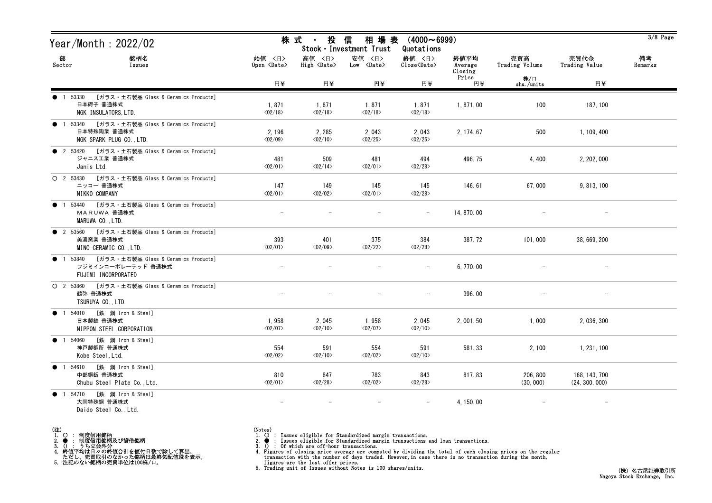| Year/Month : 2022/02                                                                                   |                                   | 株 式<br>投<br>$\sim 10^{-11}$       | 相 場 表<br>信<br>Stock · Investment Trust | $(4000 \sim 6999)$<br>Quotations                             |                            |                       |                                 | $3/8$ Page    |
|--------------------------------------------------------------------------------------------------------|-----------------------------------|-----------------------------------|----------------------------------------|--------------------------------------------------------------|----------------------------|-----------------------|---------------------------------|---------------|
| 部<br>銘柄名<br>Sector<br>Issues                                                                           | 始值 〈日〉<br>Open <date></date>      | 高値 〈日〉<br>High <date></date>      | 安値 〈日〉<br>$Low \langle Date \rangle$   | 終値 〈日〉<br>$\overline{\text{Close}}\langle\text{Date}\rangle$ | 終値平均<br>Average<br>Closing | 売買高<br>Trading Volume | 売買代金<br>Trading Value           | 備考<br>Remarks |
|                                                                                                        | 円半                                | 円半                                | 円半                                     | 円半                                                           | Price<br>円半                | 株/口<br>shs./units     | 円半                              |               |
| [ガラス・土石製品 Glass & Ceramics Products]<br>1 53330<br>日本碍子 普通株式<br>NGK INSULATORS, LTD.                   | 1,871<br>$\langle 02/18 \rangle$  | 1,871<br>$\langle 02/18 \rangle$  | 1,871<br>$\langle 02/18 \rangle$       | 1,871<br>$\langle 02/18 \rangle$                             | 1,871.00                   | 100                   | 187, 100                        |               |
| ● 1 53340 [ガラス・土石製品 Glass & Ceramics Products]<br>日本特殊陶業 普通株式<br>NGK SPARK PLUG CO., LTD.              | 2, 196<br>$\langle 02/09 \rangle$ | 2, 285<br>$\langle 02/10 \rangle$ | 2,043<br>$\langle 02/25 \rangle$       | 2,043<br>$\langle 02/25 \rangle$                             | 2, 174, 67                 | 500                   | 1, 109, 400                     |               |
| ● 2 53420 [ガラス・土石製品 Glass & Ceramics Products]<br>ジャニス工業 普通株式<br>Janis Ltd.                            | 481<br>$\langle 02/01 \rangle$    | 509<br>$\langle 02/14 \rangle$    | 481<br>$\langle 02/01 \rangle$         | 494<br>$\langle 02/28 \rangle$                               | 496.75                     | 4,400                 | 2, 202, 000                     |               |
| $O$ 2 53430<br>[ガラス・土石製品 Glass & Ceramics Products]<br>ニッコー 普通株式<br>NIKKO COMPANY                      | 147<br>$\langle 02/01 \rangle$    | 149<br>$\langle 02/02 \rangle$    | 145<br>$\langle 02/01 \rangle$         | 145<br>$\langle 02/28 \rangle$                               | 146.61                     | 67,000                | 9, 813, 100                     |               |
| 53440 [ガラス・土石製品 Glass & Ceramics Products]<br>$\bullet$<br>MARUWA 普通株式<br>MARUWA CO., LTD.             |                                   |                                   |                                        |                                                              | 14, 870, 00                |                       |                                 |               |
| ● 2 53560 [ガラス・土石製品 Glass & Ceramics Products]<br>美濃窯業 普通株式<br>MINO CERAMIC CO., LTD.                  | 393<br>$\langle 02/01 \rangle$    | 401<br>$\langle 02/09 \rangle$    | 375<br>$\langle 02/22 \rangle$         | 384<br>$\langle 02/28 \rangle$                               | 387.72                     | 101,000               | 38, 669, 200                    |               |
| 1 53840 [ガラス・土石製品 Glass & Ceramics Products]<br>$\bullet$<br>フジミインコーポレーテッド 普通株式<br>FUJIMI INCORPORATED |                                   |                                   |                                        |                                                              | 6, 770.00                  |                       |                                 |               |
| ○ 2 53860 [ガラス・土石製品 Glass & Ceramics Products]<br>鶴弥 普通株式<br>TSURUYA CO., LTD.                         |                                   |                                   |                                        | $\qquad \qquad -$                                            | 396.00                     |                       |                                 |               |
| 1 54010 [鉄 鋼 Iron & Steel]<br>$\bullet$<br>日本製鉄 普通株式<br>NIPPON STEEL CORPORATION                       | 1,958<br>$\langle 02/07 \rangle$  | 2,045<br>$\langle 02/10 \rangle$  | 1,958<br>$\langle 02/07 \rangle$       | 2,045<br>$\langle 02/10 \rangle$                             | 2, 001.50                  | 1,000                 | 2, 036, 300                     |               |
| ● 1 54060 [鉄 鋼 Iron & Steel]<br>神戸製鋼所 普通株式<br>Kobe Steel, Ltd.                                         | 554<br>$\langle 02/02 \rangle$    | 591<br>$\langle 02/10 \rangle$    | 554<br>$\langle 02/02 \rangle$         | 591<br>$\langle 02/10 \rangle$                               | 581.33                     | 2, 100                | 1, 231, 100                     |               |
| ● 1 54610 [鉄 鋼 Iron & Steel]<br>中部鋼鈑 普通株式<br>Chubu Steel Plate Co., Ltd.                               | 810<br>$\langle 02/01 \rangle$    | 847<br>$\langle 02/28 \rangle$    | 783<br>$\langle 02/02 \rangle$         | 843<br>$\langle 02/28 \rangle$                               | 817.83                     | 206, 800<br>(30, 000) | 168, 143, 700<br>(24, 300, 000) |               |
| 1 54710 [鉄 鋼 Iron & Steel]<br>$\bullet$<br>大同特殊鋼 普通株式<br>Daido Steel Co., Ltd.                         | $\overline{\phantom{a}}$          | $\overline{\phantom{m}}$          | $-$                                    | $-$                                                          | 4, 150.00                  |                       | $-$                             |               |

- (注)<br>1. ○<br>2. ●<br>3. ① 1. ○ : 制度信用銘柄
- 
- 2. : 制度信用銘柄及び貸借銘柄<br>3. () : うち立会外分<br>4. 終値平均は日々の終値合計を値付日数で除して算出。<br>ただし、売買取引のなかった銘柄は最終気配値段を表示。<br>5. 注記のない銘柄の売買単位は100株/口。

- (Notes)<br>1. : Issues eligible for Standardized margin transactions.
-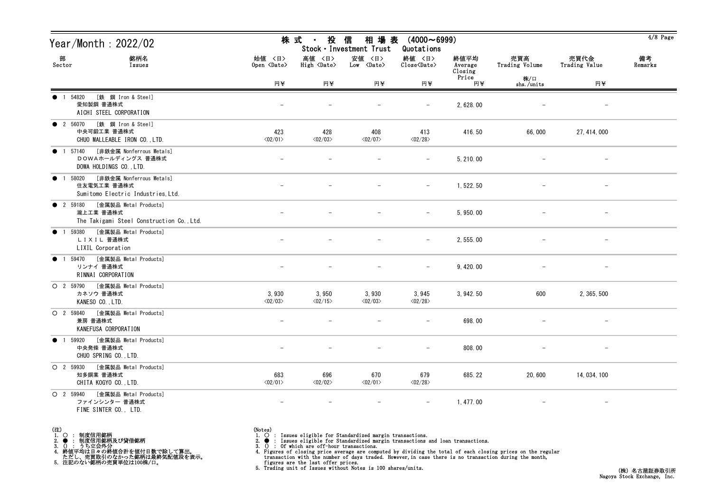| Year/Month : 2022/02                                                                          |                                  | 株 式<br>投<br>$\sim 10^{-11}$      | 信<br>相 場 表<br>Stock · Investment Trust | $(4000 \sim 6999)$<br>Quotations                   |                            |                       |                          | $4/8$ Page    |
|-----------------------------------------------------------------------------------------------|----------------------------------|----------------------------------|----------------------------------------|----------------------------------------------------|----------------------------|-----------------------|--------------------------|---------------|
| 部<br>銘柄名<br>Sector<br>Issues                                                                  | 始値 〈日〉<br>Open <date></date>     | 高値 〈日〉<br>High <date></date>     | 安値 〈日〉<br>$Low \langle Date \rangle$   | 終値 〈日〉<br>$\text{Close}\langle \text{Date}\rangle$ | 終値平均<br>Average<br>Closing | 売買高<br>Trading Volume | 売買代金<br>Trading Value    | 備考<br>Remarks |
|                                                                                               | 円半                               | 円半                               | 円半                                     | 円半                                                 | Price<br>円至                | 株/口<br>shs./units     | 円半                       |               |
| [鉄 鋼 Iron & Steel]<br>• 1 54820<br>愛知製鋼 普通株式<br>AICHI STEEL CORPORATION                       |                                  |                                  |                                        | $\overline{\phantom{0}}$                           | 2, 628.00                  |                       | $\qquad \qquad -$        |               |
| ● 2 56070 [鉄 鋼 Iron & Steel]<br>中央可鍛工業 普通株式<br>CHUO MALLEABLE IRON CO., LTD.                  | 423<br>$\langle 02/01 \rangle$   | 428<br>$\langle 02/03 \rangle$   | 408<br>$\langle 02/07 \rangle$         | 413<br>$\langle 02/28 \rangle$                     | 416.50                     | 66,000                | 27, 414, 000             |               |
| [非鉄金属 Nonferrous Metals]<br>$\bullet$ 1 57140<br>DOWAホールディングス 普通株式<br>DOWA HOLDINGS CO., LTD. |                                  |                                  |                                        |                                                    | 5, 210.00                  |                       |                          |               |
| [非鉄金属 Nonferrous Metals]<br>● 1 58020<br>住友電気工業 普通株式<br>Sumitomo Electric Industries, Ltd.    |                                  |                                  |                                        | $\overline{\phantom{0}}$                           | 1, 522. 50                 |                       |                          |               |
| ● 2 59180 [金属製品 Metal Products]<br>瀧上工業 普通株式<br>The Takigami Steel Construction Co., Ltd.     |                                  |                                  |                                        |                                                    | 5, 950.00                  |                       |                          |               |
| ● 1 59380 [金属製品 Metal Products]<br>LIXIL 普通株式<br>LIXIL Corporation                            |                                  |                                  |                                        | $\overline{\phantom{0}}$                           | 2, 555.00                  |                       | $\overline{\phantom{a}}$ |               |
| ● 1 59470 [金属製品 Metal Products]<br>リンナイ 普通株式<br>RINNAI CORPORATION                            |                                  |                                  |                                        |                                                    | 9, 420.00                  |                       |                          |               |
| O 2 59790 [金属製品 Metal Products]<br>カネソウ 普通株式<br>KANESO CO., LTD.                              | 3,930<br>$\langle 02/03 \rangle$ | 3,950<br>$\langle 02/15 \rangle$ | 3,930<br>$\langle 02/03 \rangle$       | 3,945<br>$\langle 02/28 \rangle$                   | 3,942.50                   | 600                   | 2, 365, 500              |               |
| O 2 59840 [金属製品 Metal Products]<br>兼房 普通株式<br>KANEFUSA CORPORATION                            |                                  |                                  |                                        |                                                    | 698.00                     |                       | $\overline{\phantom{m}}$ |               |
| ● 1 59920 [金属製品 Metal Products]<br>中央発條 普通株式<br>CHUO SPRING CO., LTD.                         |                                  |                                  |                                        | $-$                                                | 808.00                     |                       |                          |               |
| [金属製品 Metal Products]<br>$O$ 2 59930<br>知多鋼業 普通株式<br>CHITA KOGYO CO., LTD.                    | 683<br>$\langle 02/01 \rangle$   | 696<br>$\langle02/02\rangle$     | 670<br>$\langle 02/01 \rangle$         | 679<br>$\langle 02/28 \rangle$                     | 685.22                     | 20,600                | 14, 034, 100             |               |
| [金属製品 Metal Products]<br>O 2 59940<br>ファインシンター 普通株式<br>FINE SINTER CO., LTD.                  | $\overline{\phantom{m}}$         |                                  | $\overline{\phantom{0}}$               | $\overline{\phantom{0}}$                           | 1, 477.00                  |                       | $\overline{\phantom{m}}$ |               |

- (注)<br>1. ○<br>2. ●<br>3. ① 1. ○ : 制度信用銘柄
- 
- 2. : 制度信用銘柄及び貸借銘柄<br>3. () : うち立会外分<br>4. 終値平均は日々の終値合計を値付日数で除して算出。<br>ただし、売買取引のなかった銘柄は最終気配値段を表示。<br>5. 注記のない銘柄の売買単位は100株/口。

(Notes)<br>1. ○ : Issues eligible for Standardized margin transactions.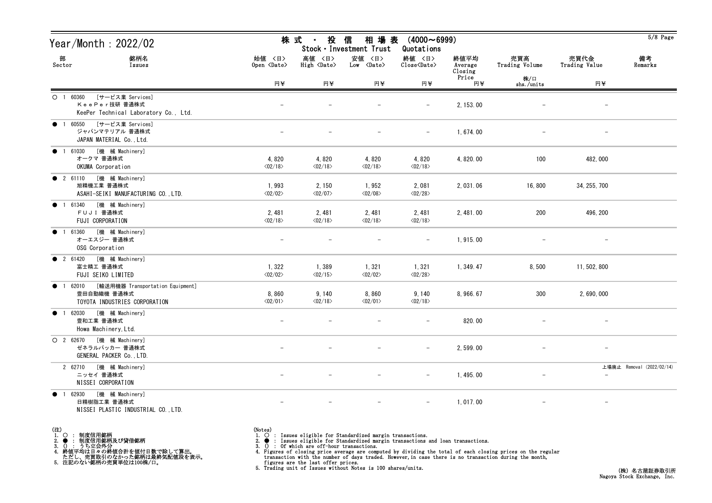| Year/Month : 2022/02                                                                       |                                  | 信<br>株 式<br>投<br>相 場 表<br>$(4000 \sim 6999)$<br>$\mathbf{u}$<br>Stock · Investment Trust<br>Quotations |                                  |                                  |                            |                       |                          |                           |  |
|--------------------------------------------------------------------------------------------|----------------------------------|--------------------------------------------------------------------------------------------------------|----------------------------------|----------------------------------|----------------------------|-----------------------|--------------------------|---------------------------|--|
| 部<br>銘柄名<br>Sector<br>Issues                                                               | 始值 〈日〉<br>Open <date></date>     | 高値 〈日〉<br>High <date></date>                                                                           | 安値 〈日〉<br>Low <date></date>      | 終値 〈日〉<br>Close <date></date>    | 終値平均<br>Average<br>Closing | 売買高<br>Trading Volume | 売買代金<br>Trading Value    | 備考<br>Remarks             |  |
|                                                                                            | 円半                               | 円半                                                                                                     | 円半                               | 円半                               | Price<br>円¥                | 株/口<br>shs./units     | 円半                       |                           |  |
| [サービス業 Services]<br>$O$ 1 60360<br>KeePer技研 普通株式<br>KeePer Technical Laboratory Co., Ltd.  |                                  |                                                                                                        |                                  |                                  | 2, 153.00                  |                       |                          |                           |  |
| ● 1 60550 [サービス業 Services]<br>ジャパンマテリアル 普通株式<br>JAPAN MATERIAL Co., Ltd.                   |                                  |                                                                                                        |                                  | $-$                              | 1,674.00                   |                       | $\overline{\phantom{a}}$ |                           |  |
| [機 械 Machinery]<br>$\bullet$ 1 61030<br>オークマ 普通株式<br>OKUMA Corporation                     | 4,820<br>$\langle 02/18 \rangle$ | 4,820<br>$\langle 02/18 \rangle$                                                                       | 4,820<br>$\langle 02/18 \rangle$ | 4,820<br>$\langle 02/18 \rangle$ | 4, 820.00                  | 100                   | 482,000                  |                           |  |
| ● 2 61110 [機 械 Machinery]<br>旭精機工業 普通株式<br>ASAHI-SEIKI MANUFACTURING CO., LTD.             | 1,993<br>$\langle 02/02 \rangle$ | 2, 150<br>$\langle 02/07 \rangle$                                                                      | 1,952<br>$\langle 02/08 \rangle$ | 2,081<br>$\langle 02/28 \rangle$ | 2, 031.06                  | 16,800                | 34, 255, 700             |                           |  |
| [機 械 Machinery]<br>• 1 61340<br>FUJI 普通株式<br>FUJI CORPORATION                              | 2,481<br>$\langle 02/18 \rangle$ | 2, 481<br>$\langle 02/18 \rangle$                                                                      | 2,481<br>$\langle 02/18 \rangle$ | 2,481<br>$\langle 02/18 \rangle$ | 2, 481.00                  | 200                   | 496, 200                 |                           |  |
| [機 械 Machinery]<br>• 1 61360<br>オーエスジー 普通株式<br>OSG Corporation                             |                                  |                                                                                                        |                                  | $\overline{\phantom{m}}$         | 1,915.00                   |                       | $\qquad \qquad -$        |                           |  |
| ● 2 61420 [機 械 Machinery]<br>富士精工 普通株式<br>FUJI SEIKO LIMITED                               | 1,322<br>$\langle 02/02 \rangle$ | 1,389<br>$\langle 02/15 \rangle$                                                                       | 1,321<br>$\langle 02/02 \rangle$ | 1,321<br>$\langle 02/28 \rangle$ | 1, 349.47                  | 8,500                 | 11, 502, 800             |                           |  |
| ● 1 62010 [輸送用機器 Transportation Equipment]<br>豊田自動織機 普通株式<br>TOYOTA INDUSTRIES CORPORATION | 8,860<br>$\langle 02/01 \rangle$ | 9, 140<br>$\langle 02/18 \rangle$                                                                      | 8,860<br>$\langle 02/01 \rangle$ | 9,140<br>$\langle 02/18 \rangle$ | 8, 966. 67                 | 300                   | 2,690,000                |                           |  |
| ● 1 62030 [機 械 Machinery]<br>豊和工業 普通株式<br>Howa Machinery, Ltd.                             |                                  |                                                                                                        |                                  |                                  | 820.00                     |                       |                          |                           |  |
| O 2 62670 [機 械 Machinery]<br>ゼネラルパッカー 普通株式<br>GENERAL PACKER Co., LTD.                     |                                  |                                                                                                        |                                  | $-$                              | 2, 599.00                  |                       |                          |                           |  |
| 2 62710 [機 械 Machinery]<br>ニッセイ 普通株式<br>NISSEI CORPORATION                                 |                                  |                                                                                                        |                                  | $-$                              | 1, 495.00                  |                       | $ \,$                    | 上場廃止 Removal (2022/02/14) |  |
| ● 1 62930 [機 械 Machinery]<br>日精樹脂工業 普通株式<br>NISSEI PLASTIC INDUSTRIAL CO., LTD.            |                                  |                                                                                                        | $\overline{\phantom{a}}$         | $-$                              | 1, 017.00                  |                       | $-$                      |                           |  |

(注) 1. ○ : 制度信用銘柄 2. ● : 制度信用銘柄及び貸借銘柄<br>3. () : うち立会外分<br>4. 終値平均は日々の終値合計を値付日数で除して算出。<br>ただし、売買取引のなかった銘柄は最終気配値段を表示。<br>5. 注記のない銘柄の売買単位は100株/口。

(Notes)<br>1. ○ : Issues eligible for Standardized margin transactions.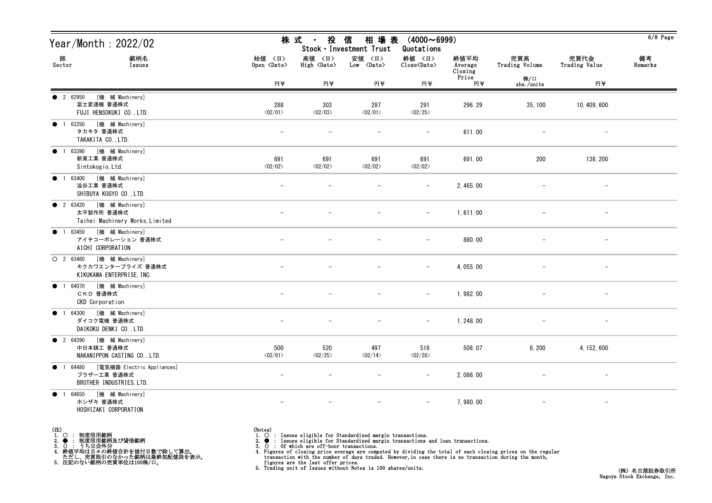| Year/Month : 2022/02                                                             |                                | 株式 ・ 投信                               | 相 場 表<br>Stock · Investment Trust    | $(4000 \sim 6999)$<br>Quotations                   |                            |                          |                                 | $6/8$ Page    |
|----------------------------------------------------------------------------------|--------------------------------|---------------------------------------|--------------------------------------|----------------------------------------------------|----------------------------|--------------------------|---------------------------------|---------------|
| 部<br>銘柄名<br>Sector<br>Issues                                                     | 始値 〈日〉<br>Open <date></date>   | 高値 〈日〉<br>$High \langle Date \rangle$ | 安値 〈日〉<br>$Low \langle Date \rangle$ | 終値 〈日〉<br>$\text{Close}\langle \text{Date}\rangle$ | 終値平均<br>Average<br>Closing | 売買高<br>Trading Volume    | 売買代金<br>Trading Value           | 備考<br>Remarks |
|                                                                                  | 円半                             | 円半                                    | 円半                                   | 円半                                                 | Price<br>円半                | 株/口<br>shs./units        | 円半                              |               |
| [機 械 Machinery]<br>• 2 62950<br>富士変速機 普通株式<br>FUJI HENSOKUKI CO., LTD.           | 288<br>$\langle 02/01 \rangle$ | 303<br>$\langle 02/03 \rangle$        | 287<br>$\langle 02/01 \rangle$       | 291<br>$\langle 02/25 \rangle$                     | 296.29                     | 35, 100                  | 10, 409, 600                    |               |
| ● 1 63250 [機 械 Machinery]<br>タカキタ 普通株式<br>TAKAKITA CO., LTD.                     | $\overline{\phantom{m}}$       |                                       |                                      | $\overline{\phantom{m}}$                           | 611.00                     | $\overline{\phantom{m}}$ | $\hspace{0.1mm}-\hspace{0.1mm}$ |               |
| [機 械 Machinery]<br>$\bullet$ 1 63390<br>新東工業 普通株式<br>Sintokogio, Ltd.            | 691<br>$\langle 02/02 \rangle$ | 691<br>$\langle 02/02 \rangle$        | 691<br>$\langle 02/02 \rangle$       | 691<br>$\langle 02/02 \rangle$                     | 691.00                     | 200                      | 138, 200                        |               |
| [機 械 Machinery]<br>• 1 63400<br>澁谷工業 普通株式<br>SHIBUYA KOGYO CO., LTD.             | $\qquad \qquad -$              |                                       |                                      | $\overline{\phantom{m}}$                           | 2, 465.00                  |                          |                                 |               |
| ● 2 63420 [機 械 Machinery]<br>太平製作所 普通株式<br>Taihei Machinery Works, Limited       |                                |                                       |                                      |                                                    | 1,611.00                   |                          |                                 |               |
| ● 1 63450 [機 械 Machinery]<br>アイチコーポレーション 普通株式<br>AICHI CORPORATION               |                                |                                       |                                      | $\overline{\phantom{a}}$                           | 880.00                     |                          | $\hspace{0.1mm}-\hspace{0.1mm}$ |               |
| [機 械 Machinery]<br>$O$ 2 63460<br>キクカワエンタープライズ 普通株式<br>KIKUKAWA ENTERPRISE, INC. |                                |                                       |                                      |                                                    | 4, 055.00                  |                          |                                 |               |
| [機 械 Machinery]<br><b>1</b> 64070<br>CKD 普通株式<br>CKD Corporation                 |                                |                                       |                                      | $\overline{\phantom{m}}$                           | 1,982.00                   |                          | $\overline{\phantom{m}}$        |               |
| ● 1 64300 [機 械 Machinery]<br>ダイコク電機 普通株式<br>DAIKOKU DENKI CO., LTD.              |                                |                                       |                                      |                                                    | 1, 248.00                  |                          |                                 |               |
| ● 2 64390 [機 械 Machinery]<br>中日本鋳工 普通株式<br>NAKANIPPON CASTING CO., LTD.          | 500<br>$\langle 02/01 \rangle$ | 520<br>$\langle 02/25 \rangle$        | 497<br>$\langle 02/14 \rangle$       | 518<br>$\langle02/28\rangle$                       | 508.07                     | 8,200                    | 4, 152, 600                     |               |
| ● 1 64480 [電気機器 Electric Appliances]<br>ブラザー工業 普通株式<br>BROTHER INDUSTRIES, LTD.  | $\overline{\phantom{m}}$       |                                       | $\overline{\phantom{m}}$             | $\overline{\phantom{m}}$                           | 2,086.00                   |                          |                                 |               |
| ● 1 64650 [機械 Machinery]<br>ホシザキ 普通株式<br>HOSHIZAKI CORPORATION                   | $\qquad \qquad -$              | $\overline{\phantom{m}}$              | $\overline{\phantom{m}}$             | $-$                                                | 7,980.00                   | $-$                      | $\hspace{0.1mm}-\hspace{0.1mm}$ |               |

(注) 1. ○ : 制度信用銘柄

2. ● : 制度信用銘柄及び貸借銘柄<br>3. () : うち立会外分<br>4. 終値平均は日々の終値合計を値付日数で除して算出。<br>ただし、売買取引のなかった銘柄は最終気配値段を表示。<br>5. 注記のない銘柄の売買単位は100株/口。

(Notes)<br>1. ○ : Issues eligible for Standardized margin transactions.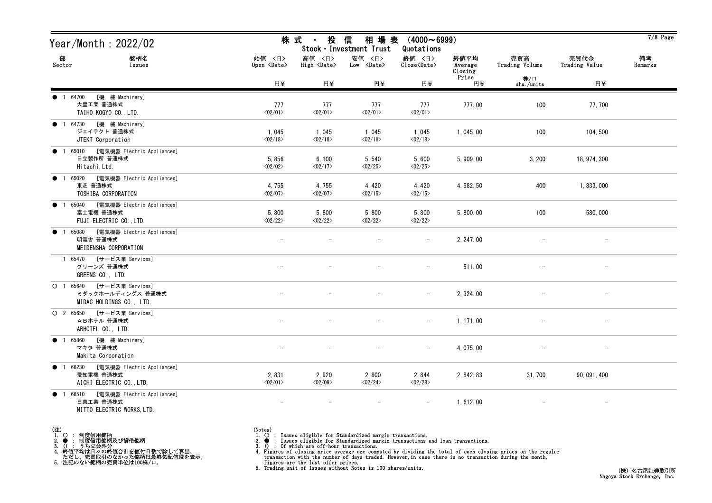| Year/Month : 2022/02                                                                                    |                                  | 株 式 ・                             | 投 信<br>相 場 表<br>Stock · Investment Trust | $(4000 \sim 6999)$<br>Quotations                   |                            |                       |                          | $7/8$ Page    |
|---------------------------------------------------------------------------------------------------------|----------------------------------|-----------------------------------|------------------------------------------|----------------------------------------------------|----------------------------|-----------------------|--------------------------|---------------|
| 部<br>銘柄名<br>Sector<br>Issues                                                                            | 始値 〈日〉<br>Open <date></date>     | 高値 〈日〉<br>High <date></date>      | 安値 〈日〉<br>$Low \langle Date \rangle$     | 終値 〈日〉<br>$\text{Close}\langle \text{Date}\rangle$ | 終値平均<br>Average<br>Closing | 売買高<br>Trading Volume | 売買代金<br>Trading Value    | 備考<br>Remarks |
|                                                                                                         | 円半                               | 円半                                | 円半                                       | 円半                                                 | Price<br>円半                | 株/口<br>shs./units     | 円半                       |               |
| ● 1 64700<br>[機 械 Machinery]<br>大豊工業 普通株式<br>TAIHO KOGYO CO., LTD.                                      | 777<br>$\langle 02/01 \rangle$   | 777<br>$\langle 02/01 \rangle$    | 777<br>$\langle 02/01 \rangle$           | 777<br>$\langle 02/01 \rangle$                     | 777.00                     | 100                   | 77, 700                  |               |
| ● 1 64730 [機 械 Machinery]<br>ジェイテクト 普通株式<br>JTEKT Corporation                                           | 1,045<br>$\langle 02/18 \rangle$ | 1,045<br>$\langle 02/18 \rangle$  | 1,045<br>$\langle 02/18 \rangle$         | 1,045<br>$\langle 02/18 \rangle$                   | 1, 045.00                  | 100                   | 104, 500                 |               |
| 1 65010 [電気機器 Electric Appliances]<br>$\bullet$<br>日立製作所 普通株式<br>Hitachi, Ltd.                          | 5,856<br>$\langle 02/02 \rangle$ | 6, 100<br>$\langle 02/17 \rangle$ | 5,540<br>$\langle02/25\rangle$           | 5,600<br>$\langle 02/25 \rangle$                   | 5, 909.00                  | 3,200                 | 18, 974, 300             |               |
| [電気機器 Electric Appliances]<br>65020<br>$\bullet$<br>$\overline{1}$<br>東芝 普通株式<br>TOSHIBA CORPORATION    | 4,755<br>$\langle 02/07 \rangle$ | 4,755<br>$\langle 02/07 \rangle$  | 4,420<br>$\langle 02/15 \rangle$         | 4,420<br>$\langle 02/15 \rangle$                   | 4, 582. 50                 | 400                   | 1, 833, 000              |               |
| 65040 [電気機器 Electric Appliances]<br>$\bullet$<br>$\overline{1}$<br>富士電機 普通株式<br>FUJI ELECTRIC CO., LTD. | 5,800<br>$\langle 02/22 \rangle$ | 5,800<br>$\langle 02/22 \rangle$  | 5,800<br>$\langle 02/22 \rangle$         | 5,800<br>$\langle 02/22 \rangle$                   | 5,800.00                   | 100                   | 580,000                  |               |
| ● 1 65080 [電気機器 Electric Appliances]<br>明電舎 普通株式<br>MEIDENSHA CORPORATION                               |                                  |                                   |                                          | $-$                                                | 2, 247.00                  |                       | $\overline{\phantom{m}}$ |               |
| 1 65470 [サービス業 Services]<br>グリーンズ 普通株式<br>GREENS CO., LTD.                                              |                                  |                                   |                                          |                                                    | 511.00                     |                       |                          |               |
| O 1 65640 [サービス業 Services]<br>ミダックホールディングス 普通株式<br>MIDAC HOLDINGS CO., LTD.                             |                                  |                                   |                                          | $-$                                                | 2, 324.00                  |                       | $\overline{\phantom{a}}$ |               |
| O 2 65650 [サービス業 Services]<br>ABホテル 普通株式<br>ABHOTEL CO., LTD.                                           |                                  |                                   |                                          | $-$                                                | 1, 171.00                  |                       | $\overline{\phantom{a}}$ |               |
| ● 1 65860 [機 械 Machinery]<br>マキタ 普通株式<br>Makita Corporation                                             |                                  |                                   |                                          | $-$                                                | 4, 075.00                  |                       | $\overline{\phantom{m}}$ |               |
| [電気機器 Electric Appliances]<br>• 1 66230<br>愛知電機 普通株式<br>AICHI ELECTRIC CO., LTD.                        | 2,831<br>$\langle 02/01 \rangle$ | 2,920<br>$\langle 02/09 \rangle$  | 2,800<br>$\langle 02/24 \rangle$         | 2,844<br>$\langle 02/28 \rangle$                   | 2, 842. 83                 | 31, 700               | 90, 091, 400             |               |
| [電気機器 Electric Appliances]<br>66510<br>$\bullet$<br>日東工業 普通株式<br>NITTO ELECTRIC WORKS, LTD.             |                                  |                                   |                                          |                                                    | 1,612.00                   |                       | $\overline{\phantom{m}}$ |               |

- (注)<br>1. ○<br>2. ●<br>3. ① 1. ○ : 制度信用銘柄
- 
- 

2. ● : 制度信用銘柄及び貸借銘柄<br>3. () : うち立会外分<br>4. 終値平均は日々の終値合計を値付日数で除して算出。<br>ただし、売買取引のなかった銘柄は最終気配値段を表示。<br>5. 注記のない銘柄の売買単位は100株/口。

- (Notes)<br>1. : Issues eligible for Standardized margin transactions.
-